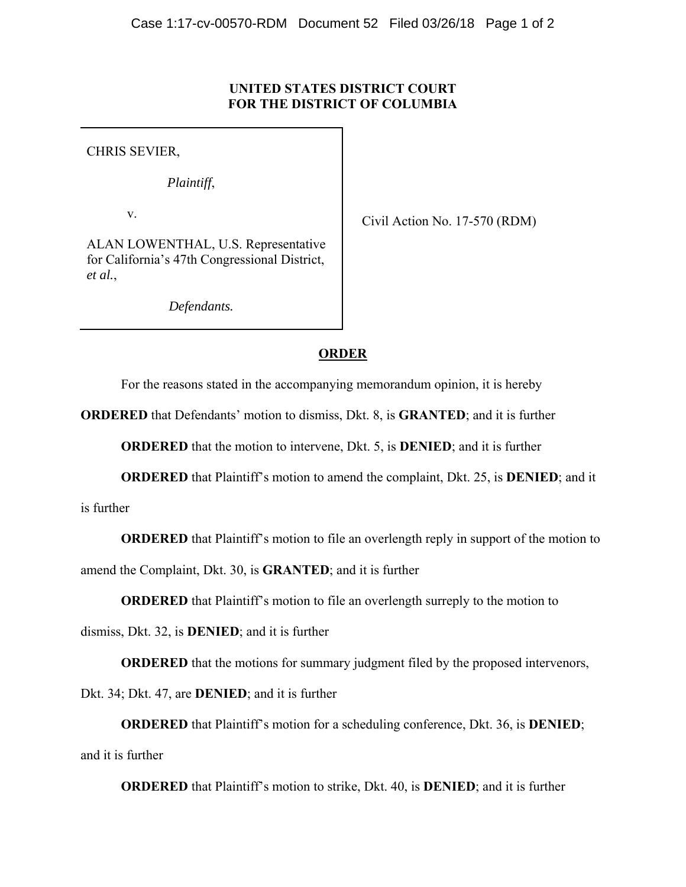## **UNITED STATES DISTRICT COURT FOR THE DISTRICT OF COLUMBIA**

CHRIS SEVIER,

*Plaintiff*,

v.

Civil Action No. 17-570 (RDM)

ALAN LOWENTHAL, U.S. Representative for California's 47th Congressional District, *et al.*,

*Defendants.*

# **ORDER**

For the reasons stated in the accompanying memorandum opinion, it is hereby

**ORDERED** that Defendants' motion to dismiss, Dkt. 8, is **GRANTED**; and it is further

**ORDERED** that the motion to intervene, Dkt. 5, is **DENIED**; and it is further

**ORDERED** that Plaintiff's motion to amend the complaint, Dkt. 25, is **DENIED**; and it

is further

**ORDERED** that Plaintiff's motion to file an overlength reply in support of the motion to

amend the Complaint, Dkt. 30, is **GRANTED**; and it is further

**ORDERED** that Plaintiff's motion to file an overlength surreply to the motion to

dismiss, Dkt. 32, is **DENIED**; and it is further

**ORDERED** that the motions for summary judgment filed by the proposed intervenors,

Dkt. 34; Dkt. 47, are **DENIED**; and it is further

**ORDERED** that Plaintiff's motion for a scheduling conference, Dkt. 36, is **DENIED**; and it is further

**ORDERED** that Plaintiff's motion to strike, Dkt. 40, is **DENIED**; and it is further